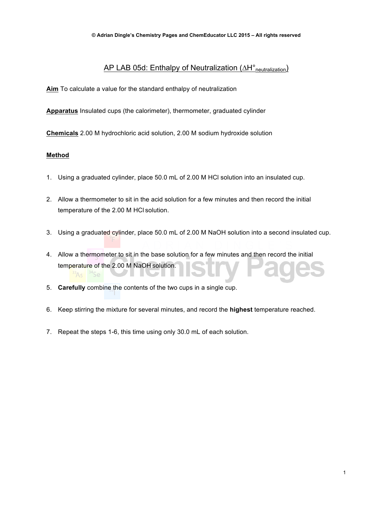## AP LAB 05d: Enthalpy of Neutralization (∆H°<sub>neutralization</sub>)

**Aim** To calculate a value for the standard enthalpy of neutralization

**Apparatus** Insulated cups (the calorimeter), thermometer, graduated cylinder

**Chemicals** 2.00 M hydrochloric acid solution, 2.00 M sodium hydroxide solution

### **Method**

- 1. Using a graduated cylinder, place 50.0 mL of 2.00 M HCl solution into an insulated cup.
- 2. Allow a thermometer to sit in the acid solution for a few minutes and then record the initial temperature of the 2.00 M HCl solution.
- 3. Using a graduated cylinder, place 50.0 mL of 2.00 M NaOH solution into a second insulated cup.
- 4. Allow a thermometer to sit in the base solution for a few minutes and then record the initial temperature of the 2.00 M NaOH solution.  $A_S$
- 5. **Carefully** combine the contents of the two cups in a single cup.
- 6. Keep stirring the mixture for several minutes, and record the **highest** temperature reached.
- 7. Repeat the steps 1-6, this time using only 30.0 mL of each solution.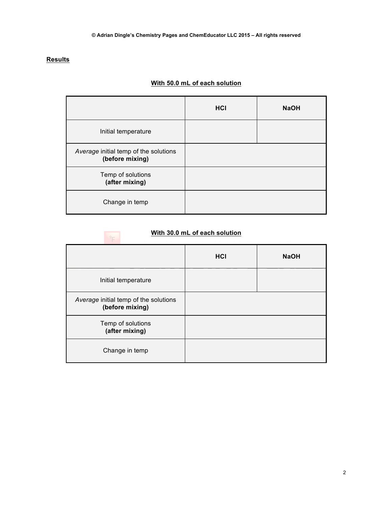# **Results**

# **With 50.0 mL of each solution**

|                                                          | HCI | <b>NaOH</b> |
|----------------------------------------------------------|-----|-------------|
| Initial temperature                                      |     |             |
| Average initial temp of the solutions<br>(before mixing) |     |             |
| Temp of solutions<br>(after mixing)                      |     |             |
| Change in temp                                           |     |             |

# **With 30.0 mL of each solution**

|                                                          | <b>HCI</b> | <b>NaOH</b> |
|----------------------------------------------------------|------------|-------------|
| Initial temperature                                      |            |             |
| Average initial temp of the solutions<br>(before mixing) |            |             |
| Temp of solutions<br>(after mixing)                      |            |             |
| Change in temp                                           |            |             |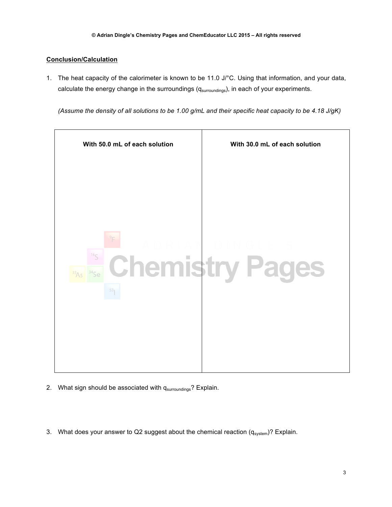## **Conclusion/Calculation**

1. The heat capacity of the calorimeter is known to be 11.0 J/°C. Using that information, and your data, calculate the energy change in the surroundings (q<sub>surroundings</sub>), in each of your experiments.

*(Assume the density of all solutions to be 1.00 g/mL and their specific heat capacity to be 4.18 J/gK)*



- 2. What sign should be associated with q<sub>surroundings</sub>? Explain.
- 3. What does your answer to Q2 suggest about the chemical reaction  $(q_{system})$ ? Explain.